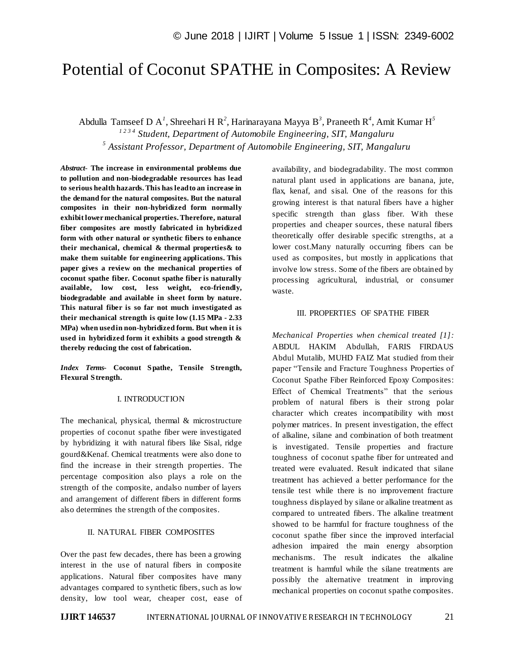# Potential of Coconut SPATHE in Composites: A Review

Abdulla Tamseef D A*<sup>1</sup>* , Shreehari H R*<sup>2</sup>* , Harinarayana Mayya B*<sup>3</sup>* , Praneeth R*<sup>4</sup>* , Amit Kumar H*<sup>5</sup> 1 2 3 4 Student, Department of Automobile Engineering, SIT, Mangaluru 5 Assistant Professor, Department of Automobile Engineering, SIT, Mangaluru*

*Abstract*- **The increase in environmental problems due to pollution and non-biodegradable resources has lead to serious health hazards. This has lead to an increase in the demand for the natural composites. But the natural composites in their non-hybridized form normally exhibit lower mechanical properties. Therefore, natural fiber composites are mostly fabricated in hybridized form with other natural or synthetic fibers to enhance their mechanical, chemical & thermal properties& to make them suitable for engineering applications. This paper gives a review on the mechanical properties of coconut spathe fiber. Coconut spathe fiber is naturally available, low cost, less weight, eco-friendly, biodegradable and available in sheet form by nature. This natural fiber is so far not much investigated as their mechanical strength is quite low (1.15 MPa - 2.33 MPa) when used in non-hybridized form. But when it is used in hybridized form it exhibits a good strength & thereby reducing the cost of fabrication.**

*Index Terms***- Coconut Spathe, Tensile Strength, Flexural Strength.**

## I. INTRODUCTION

The mechanical, physical, thermal & microstructure properties of coconut spathe fiber were investigated by hybridizing it with natural fibers like Sisal, ridge gourd&Kenaf. Chemical treatments were also done to find the increase in their strength properties. The percentage composition also plays a role on the strength of the composite, andalso number of layers and arrangement of different fibers in different forms also determines the strength of the composites.

## II. NATURAL FIBER COMPOSITES

Over the past few decades, there has been a growing interest in the use of natural fibers in composite applications. Natural fiber composites have many advantages compared to synthetic fibers, such as low density, low tool wear, cheaper cost, ease of availability, and biodegradability. The most common natural plant used in applications are banana, jute, flax, kenaf, and sisal. One of the reasons for this growing interest is that natural fibers have a higher specific strength than glass fiber. With these properties and cheaper sources, these natural fibers theoretically offer desirable specific strengths, at a lower cost.Many naturally occurring fibers can be used as composites, but mostly in applications that involve low stress. Some of the fibers are obtained by processing agricultural, industrial, or consumer waste.

### III. PROPERTIES OF SPATHE FIBER

*Mechanical Properties when chemical treated [1]:* ABDUL HAKIM Abdullah, FARIS FIRDAUS Abdul Mutalib, MUHD FAIZ Mat studied from their paper "Tensile and Fracture Toughness Properties of Coconut Spathe Fiber Reinforced Epoxy Composites: Effect of Chemical Treatments" that the serious problem of natural fibers is their strong polar character which creates incompatibility with most polymer matrices. In present investigation, the effect of alkaline, silane and combination of both treatment is investigated. Tensile properties and fracture toughness of coconut spathe fiber for untreated and treated were evaluated. Result indicated that silane treatment has achieved a better performance for the tensile test while there is no improvement fracture toughness displayed by silane or alkaline treatment as compared to untreated fibers. The alkaline treatment showed to be harmful for fracture toughness of the coconut spathe fiber since the improved interfacial adhesion impaired the main energy absorption mechanisms. The result indicates the alkaline treatment is harmful while the silane treatments are possibly the alternative treatment in improving mechanical properties on coconut spathe composites.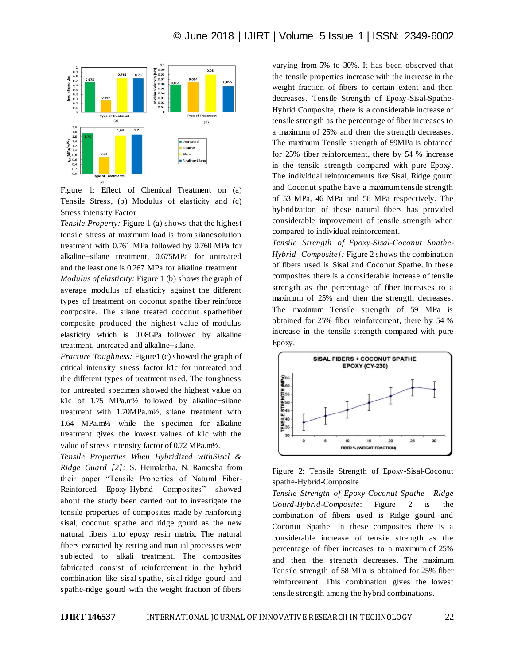

Figure 1: Effect of Chemical Treatment on (a) Tensile Stress, (b) Modulus of elasticity and (c) Stress intensity Factor

*Tensile Property:* Figure 1 (a) shows that the highest tensile stress at maximum load is from silanesolution treatment with 0.761 MPa followed by 0.760 MPa for alkaline+silane treatment, 0.675MPa for untreated and the least one is 0.267 MPa for alkaline treatment. *Modulus of elasticity:* Figure 1 (b) shows the graph of average modulus of elasticity against the different types of treatment on coconut spathe fiber reinforce composite. The silane treated coconut spathefiber composite produced the highest value of modulus elasticity which is 0.08GPa followed by alkaline treatment, untreated and alkaline+silane.

*Fracture Toughness:* Figure1 (c) showed the graph of critical intensity stress factor k1c for untreated and the different types of treatment used. The toughness for untreated specimen showed the highest value on k1c of 1.75 MPa.m½ followed by alkaline+silane treatment with 1.70MPa.m½, silane treatment with 1.64 MPa.m½ while the specimen for alkaline treatment gives the lowest values of k1c with the value of stress intensity factor of 0.72 MPa.m½.

*Tensile Properties When Hybridized withSisal & Ridge Guard [2]:* S. Hemalatha, N. Ramesha from their paper "Tensile Properties of Natural Fiber-Reinforced Epoxy-Hybrid Composites" showed about the study been carried out to investigate the tensile properties of composites made by reinforcing sisal, coconut spathe and ridge gourd as the new natural fibers into epoxy resin matrix. The natural fibers extracted by retting and manual processes were subjected to alkali treatment. The composites fabricated consist of reinforcement in the hybrid combination like sisal-spathe, sisal-ridge gourd and spathe-ridge gourd with the weight fraction of fibers

varying from 5% to 30%. It has been observed that the tensile properties increase with the increase in the weight fraction of fibers to certain extent and then decreases. Tensile Strength of Epoxy-Sisal-Spathe-Hybrid Composite; there is a considerable increase of tensile strength as the percentage of fiber increases to a maximum of 25% and then the strength decreases. The maximum Tensile strength of 59MPa is obtained for 25% fiber reinforcement, there by 54 % increase in the tensile strength compared with pure Epoxy. The individual reinforcements like Sisal, Ridge gourd and Coconut spathe have a maximum tensile strength of 53 MPa, 46 MPa and 56 MPa respectively. The hybridization of these natural fibers has provided considerable improvement of tensile strength when compared to individual reinforcement.

*Tensile Strength of Epoxy-Sisal-Coconut Spathe-Hybrid- Composite]:* Figure 2 shows the combination of fibers used is Sisal and Coconut Spathe. In these composites there is a considerable increase of tensile strength as the percentage of fiber increases to a maximum of 25% and then the strength decreases. The maximum Tensile strength of 59 MPa is obtained for 25% fiber reinforcement, there by 54 % increase in the tensile strength compared with pure Epoxy.





*Tensile Strength of Epoxy-Coconut Spathe - Ridge Gourd-Hybrid-Composite*: Figure 2 is combination of fibers used is Ridge gourd and Coconut Spathe. In these composites there is a considerable increase of tensile strength as the percentage of fiber increases to a maximum of 25% and then the strength decreases. The maximum Tensile strength of 58 MPa is obtained for 25% fiber reinforcement. This combination gives the lowest tensile strength among the hybrid combinations.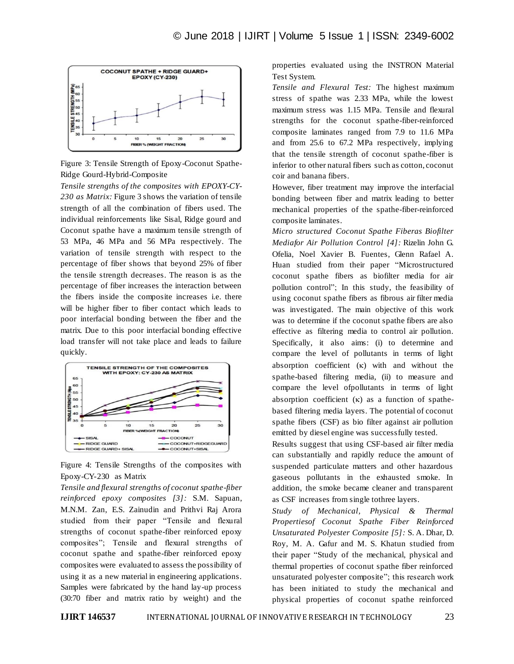

Figure 3: Tensile Strength of Epoxy-Coconut Spathe-Ridge Gourd-Hybrid-Composite

*Tensile strengths of the composites with EPOXY-CY-230 as Matrix:* Figure 3 shows the variation of tensile strength of all the combination of fibers used. The individual reinforcements like Sisal, Ridge gourd and Coconut spathe have a maximum tensile strength of 53 MPa, 46 MPa and 56 MPa respectively. The variation of tensile strength with respect to the percentage of fiber shows that beyond 25% of fiber the tensile strength decreases. The reason is as the percentage of fiber increases the interaction between the fibers inside the composite increases i.e. there will be higher fiber to fiber contact which leads to poor interfacial bonding between the fiber and the matrix. Due to this poor interfacial bonding effective load transfer will not take place and leads to failure quickly.



Figure 4: Tensile Strengths of the composites with Epoxy-CY-230 as Matrix

*Tensile and flexural strengths of coconut spathe-fiber reinforced epoxy composites [3]:* S.M. Sapuan, M.N.M. Zan, E.S. Zainudin and Prithvi Raj Arora studied from their paper "Tensile and flexural strengths of coconut spathe-fiber reinforced epoxy composites"; Tensile and flexural strengths of coconut spathe and spathe-fiber reinforced epoxy composites were evaluated to assess the possibility of using it as a new material in engineering applications. Samples were fabricated by the hand lay-up process (30:70 fiber and matrix ratio by weight) and the

properties evaluated using the INSTRON Material Test System.

*Tensile and Flexural Test:* The highest maximum stress of spathe was 2.33 MPa, while the lowest maximum stress was 1.15 MPa. Tensile and flexural strengths for the coconut spathe-fiber-reinforced composite laminates ranged from 7.9 to 11.6 MPa and from 25.6 to 67.2 MPa respectively, implying that the tensile strength of coconut spathe-fiber is inferior to other natural fibers such as cotton, coconut coir and banana fibers.

However, fiber treatment may improve the interfacial bonding between fiber and matrix leading to better mechanical properties of the spathe-fiber-reinforced composite laminates.

*Micro structured Coconut Spathe Fiberas Biofilter Mediafor Air Pollution Control [4]:* Rizelin John G. Ofelia, Noel Xavier B. Fuentes, Glenn Rafael A. Huan studied from their paper "Microstructured coconut spathe fibers as biofilter media for air pollution control"; In this study, the feasibility of using coconut spathe fibers as fibrous air filter media was investigated. The main objective of this work was to determine if the coconut spathe fibers are also effective as filtering media to control air pollution. Specifically, it also aims: (i) to determine and compare the level of pollutants in terms of light absorption coefficient  $(\kappa)$  with and without the spathe-based filtering media, (ii) to measure and compare the level ofpollutants in terms of light absorption coefficient  $(\kappa)$  as a function of spathebased filtering media layers. The potential of coconut spathe fibers (CSF) as bio filter against air pollution emitted by diesel engine was successfully tested.

Results suggest that using CSF-based air filter media can substantially and rapidly reduce the amount of suspended particulate matters and other hazardous gaseous pollutants in the exhausted smoke. In addition, the smoke became cleaner and transparent as CSF increases from single tothree layers.

*Study of Mechanical, Physical & Thermal Propertiesof Coconut Spathe Fiber Reinforced Unsaturated Polyester Composite [5]:* S. A. Dhar, D. Roy, M. A. Gafur and M. S. Khatun studied from their paper "Study of the mechanical, physical and thermal properties of coconut spathe fiber reinforced unsaturated polyester composite"; this research work has been initiated to study the mechanical and physical properties of coconut spathe reinforced